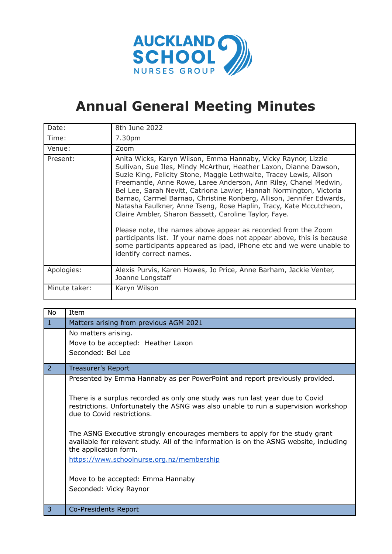

## **Annual General Meeting Minutes**

| Date:         | 8th June 2022                                                                                                                                                                                                                                                                                                                                                                                                                                                                                                                                                                                                                                                                                                                                                                                            |
|---------------|----------------------------------------------------------------------------------------------------------------------------------------------------------------------------------------------------------------------------------------------------------------------------------------------------------------------------------------------------------------------------------------------------------------------------------------------------------------------------------------------------------------------------------------------------------------------------------------------------------------------------------------------------------------------------------------------------------------------------------------------------------------------------------------------------------|
| Time:         | 7.30pm                                                                                                                                                                                                                                                                                                                                                                                                                                                                                                                                                                                                                                                                                                                                                                                                   |
| Venue:        | Zoom                                                                                                                                                                                                                                                                                                                                                                                                                                                                                                                                                                                                                                                                                                                                                                                                     |
| Present:      | Anita Wicks, Karyn Wilson, Emma Hannaby, Vicky Raynor, Lizzie<br>Sullivan, Sue Iles, Mindy McArthur, Heather Laxon, Dianne Dawson,<br>Suzie King, Felicity Stone, Maggie Lethwaite, Tracey Lewis, Alison<br>Freemantle, Anne Rowe, Laree Anderson, Ann Riley, Chanel Medwin,<br>Bel Lee, Sarah Nevitt, Catriona Lawler, Hannah Normington, Victoria<br>Barnao, Carmel Barnao, Christine Ronberg, Allison, Jennifer Edwards,<br>Natasha Faulkner, Anne Tseng, Rose Haplin, Tracy, Kate Mccutcheon,<br>Claire Ambler, Sharon Bassett, Caroline Taylor, Faye.<br>Please note, the names above appear as recorded from the Zoom<br>participants list. If your name does not appear above, this is because<br>some participants appeared as ipad, iPhone etc and we were unable to<br>identify correct names. |
| Apologies:    | Alexis Purvis, Karen Howes, Jo Price, Anne Barham, Jackie Venter,<br>Joanne Longstaff                                                                                                                                                                                                                                                                                                                                                                                                                                                                                                                                                                                                                                                                                                                    |
| Minute taker: | Karyn Wilson                                                                                                                                                                                                                                                                                                                                                                                                                                                                                                                                                                                                                                                                                                                                                                                             |

| No             | Item                                                                                                                                                                                                                                        |
|----------------|---------------------------------------------------------------------------------------------------------------------------------------------------------------------------------------------------------------------------------------------|
| $\mathbf{1}$   | Matters arising from previous AGM 2021                                                                                                                                                                                                      |
|                | No matters arising.                                                                                                                                                                                                                         |
|                | Move to be accepted: Heather Laxon                                                                                                                                                                                                          |
|                | Seconded: Bel Lee                                                                                                                                                                                                                           |
| 2              | Treasurer's Report                                                                                                                                                                                                                          |
|                | Presented by Emma Hannaby as per PowerPoint and report previously provided.                                                                                                                                                                 |
|                | There is a surplus recorded as only one study was run last year due to Covid<br>restrictions. Unfortunately the ASNG was also unable to run a supervision workshop<br>due to Covid restrictions.                                            |
|                | The ASNG Executive strongly encourages members to apply for the study grant<br>available for relevant study. All of the information is on the ASNG website, including<br>the application form.<br>https://www.schoolnurse.org.nz/membership |
|                | Move to be accepted: Emma Hannaby<br>Seconded: Vicky Raynor                                                                                                                                                                                 |
| $\overline{3}$ | <b>Co-Presidents Report</b>                                                                                                                                                                                                                 |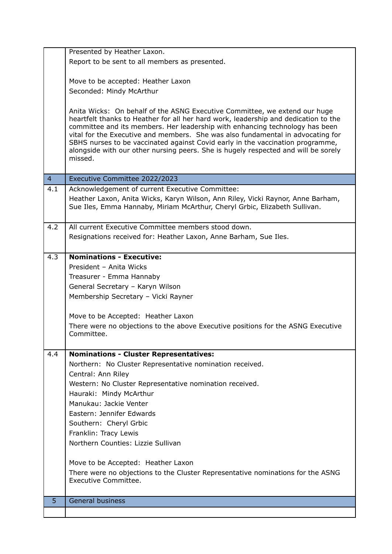|                  | Presented by Heather Laxon.                                                                                                                                                                                                                                                                                                                                                                                                                                                                                             |
|------------------|-------------------------------------------------------------------------------------------------------------------------------------------------------------------------------------------------------------------------------------------------------------------------------------------------------------------------------------------------------------------------------------------------------------------------------------------------------------------------------------------------------------------------|
|                  | Report to be sent to all members as presented.                                                                                                                                                                                                                                                                                                                                                                                                                                                                          |
|                  |                                                                                                                                                                                                                                                                                                                                                                                                                                                                                                                         |
|                  | Move to be accepted: Heather Laxon                                                                                                                                                                                                                                                                                                                                                                                                                                                                                      |
|                  | Seconded: Mindy McArthur                                                                                                                                                                                                                                                                                                                                                                                                                                                                                                |
|                  |                                                                                                                                                                                                                                                                                                                                                                                                                                                                                                                         |
|                  | Anita Wicks: On behalf of the ASNG Executive Committee, we extend our huge<br>heartfelt thanks to Heather for all her hard work, leadership and dedication to the<br>committee and its members. Her leadership with enhancing technology has been<br>vital for the Executive and members. She was also fundamental in advocating for<br>SBHS nurses to be vaccinated against Covid early in the vaccination programme,<br>alongside with our other nursing peers. She is hugely respected and will be sorely<br>missed. |
| $\overline{4}$   | Executive Committee 2022/2023                                                                                                                                                                                                                                                                                                                                                                                                                                                                                           |
| 4.1              | Acknowledgement of current Executive Committee:                                                                                                                                                                                                                                                                                                                                                                                                                                                                         |
|                  |                                                                                                                                                                                                                                                                                                                                                                                                                                                                                                                         |
|                  | Heather Laxon, Anita Wicks, Karyn Wilson, Ann Riley, Vicki Raynor, Anne Barham,<br>Sue Iles, Emma Hannaby, Miriam McArthur, Cheryl Grbic, Elizabeth Sullivan.                                                                                                                                                                                                                                                                                                                                                           |
|                  |                                                                                                                                                                                                                                                                                                                                                                                                                                                                                                                         |
| 4.2              | All current Executive Committee members stood down.                                                                                                                                                                                                                                                                                                                                                                                                                                                                     |
|                  | Resignations received for: Heather Laxon, Anne Barham, Sue Iles.                                                                                                                                                                                                                                                                                                                                                                                                                                                        |
|                  |                                                                                                                                                                                                                                                                                                                                                                                                                                                                                                                         |
| $\overline{4.3}$ | <b>Nominations - Executive:</b>                                                                                                                                                                                                                                                                                                                                                                                                                                                                                         |
|                  | President - Anita Wicks                                                                                                                                                                                                                                                                                                                                                                                                                                                                                                 |
|                  |                                                                                                                                                                                                                                                                                                                                                                                                                                                                                                                         |
|                  | Treasurer - Emma Hannaby                                                                                                                                                                                                                                                                                                                                                                                                                                                                                                |
|                  | General Secretary - Karyn Wilson                                                                                                                                                                                                                                                                                                                                                                                                                                                                                        |
|                  | Membership Secretary - Vicki Rayner                                                                                                                                                                                                                                                                                                                                                                                                                                                                                     |
|                  |                                                                                                                                                                                                                                                                                                                                                                                                                                                                                                                         |
|                  | Move to be Accepted: Heather Laxon                                                                                                                                                                                                                                                                                                                                                                                                                                                                                      |
|                  | There were no objections to the above Executive positions for the ASNG Executive<br>Committee.                                                                                                                                                                                                                                                                                                                                                                                                                          |
|                  |                                                                                                                                                                                                                                                                                                                                                                                                                                                                                                                         |
| 4.4              | <b>Nominations - Cluster Representatives:</b>                                                                                                                                                                                                                                                                                                                                                                                                                                                                           |
|                  | Northern: No Cluster Representative nomination received.                                                                                                                                                                                                                                                                                                                                                                                                                                                                |
|                  | Central: Ann Riley                                                                                                                                                                                                                                                                                                                                                                                                                                                                                                      |
|                  |                                                                                                                                                                                                                                                                                                                                                                                                                                                                                                                         |
|                  | Western: No Cluster Representative nomination received.                                                                                                                                                                                                                                                                                                                                                                                                                                                                 |
|                  | Hauraki: Mindy McArthur                                                                                                                                                                                                                                                                                                                                                                                                                                                                                                 |
|                  | Manukau: Jackie Venter                                                                                                                                                                                                                                                                                                                                                                                                                                                                                                  |
|                  | Eastern: Jennifer Edwards                                                                                                                                                                                                                                                                                                                                                                                                                                                                                               |
|                  | Southern: Cheryl Grbic                                                                                                                                                                                                                                                                                                                                                                                                                                                                                                  |
|                  | Franklin: Tracy Lewis                                                                                                                                                                                                                                                                                                                                                                                                                                                                                                   |
|                  | Northern Counties: Lizzie Sullivan                                                                                                                                                                                                                                                                                                                                                                                                                                                                                      |
|                  |                                                                                                                                                                                                                                                                                                                                                                                                                                                                                                                         |
|                  | Move to be Accepted: Heather Laxon                                                                                                                                                                                                                                                                                                                                                                                                                                                                                      |
|                  | There were no objections to the Cluster Representative nominations for the ASNG                                                                                                                                                                                                                                                                                                                                                                                                                                         |
|                  | Executive Committee.                                                                                                                                                                                                                                                                                                                                                                                                                                                                                                    |
|                  |                                                                                                                                                                                                                                                                                                                                                                                                                                                                                                                         |
| 5                | <b>General business</b>                                                                                                                                                                                                                                                                                                                                                                                                                                                                                                 |
|                  |                                                                                                                                                                                                                                                                                                                                                                                                                                                                                                                         |